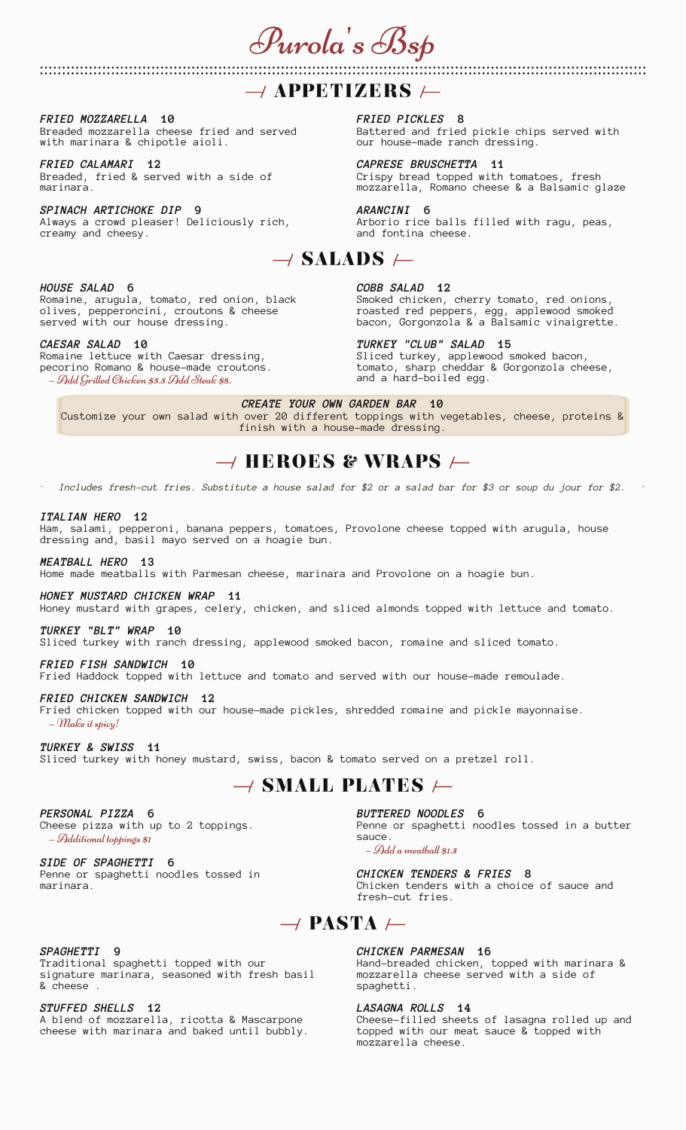Purola's Bsp

## $\rightarrow$  APPETIZERS  $\leftarrow$

*FRIED MOZZARELLA* **10** Breaded mozzarella cheese fried and served with marinara & chipotle aioli.

*FRIED CALAMARI* **12** Breaded, fried & served with a side of marinara.

*SPINACH ARTICHOKE DIP* **9** Always a crowd pleaser! Deliciously rich, creamy and cheesy.

*FRIED PICKLES* **8** Battered and fried pickle chips served with our house-made ranch dressing.

*CAPRESE BRUSCHETTA* **11** Crispy bread topped with tomatoes, fresh mozzarella, Romano cheese & a Balsamic glaze

*ARANCINI* **6** Arborio rice balls filled with ragu, peas, and fontina cheese.

# $\rightarrow$  SALADS  $\leftarrow$

#### *HOUSE SALAD* **6**

Romaine, arugula, tomato, red onion, black olives, pepperoncini, croutons & cheese served with our house dressing.

#### *CAESAR SALAD* **10** Romaine lettuce with Caesar dressing,

pecorino Romano & house-made croutons. — Add Grilled Chicken \$5.5 Add Steak \$8.

*COBB SALAD* **12**

Smoked chicken, cherry tomato, red onions, roasted red peppers, egg, applewood smoked bacon, Gorgonzola & a Balsamic vinaigrette.

*TURKEY "CLUB" SALAD* **15** Sliced turkey, applewood smoked bacon, tomato, sharp cheddar & Gorgonzola cheese, and a hard-boiled egg.

*CREATE YOUR OWN GARDEN BAR* **10**

Customize your own salad with over 20 different toppings with vegetables, cheese, proteins & finish with a house-made dressing.

# $\rightarrow$  HEROES & WRAPS  $\leftarrow$

âââ âââ *Includes fresh-cut fries. Substitute a house salad for \$2 or a salad bar for \$3 or soup du jour for \$2.*

### *ITALIAN HERO* **12**

Ham, salami, pepperoni, banana peppers, tomatoes, Provolone cheese topped with arugula, house dressing and, basil mayo served on a hoagie bun.

## *MEATBALL HERO* **13**

Home made meatballs with Parmesan cheese, marinara and Provolone on a hoagie bun.

### *HONEY MUSTARD CHICKEN WRAP* **11**

Honey mustard with grapes, celery, chicken, and sliced almonds topped with lettuce and tomato.

## *TURKEY "BLT" WRAP* **10**

Sliced turkey with ranch dressing, applewood smoked bacon, romaine and sliced tomato.

## *FRIED FISH SANDWICH* **10**

Fried Haddock topped with lettuce and tomato and served with our house-made remoulade.

#### *FRIED CHICKEN SANDWICH* **12**

Fried chicken topped with our house-made pickles, shredded romaine and pickle mayonnaise. — Make it spicy!

*TURKEY & SWISS* **11** Sliced turkey with honey mustard, swiss, bacon & tomato served on a pretzel roll.

## $\rightarrow$  SMALL PLATES  $\leftarrow$

*PERSONAL PIZZA* **6** Cheese pizza with up to 2 toppings. — Additional toppings \$1

*SIDE OF SPAGHETTI* **6** Penne or spaghetti noodles tossed in marinara.

## *BUTTERED NOODLES* **6**

Penne or spaghetti noodles tossed in a butter sauce.

— Add a meatball \$1.5

*CHICKEN TENDERS & FRIES* **8** Chicken tenders with a choice of sauce and fresh-cut fries.

## $\rightarrow$  PASTA  $\leftarrow$

### *SPAGHETTI* **9**

Traditional spaghetti topped with our signature marinara, seasoned with fresh basil & cheese .

*STUFFED SHELLS* **12** A blend of mozzarella, ricotta & Mascarpone cheese with marinara and baked until bubbly.

### *CHICKEN PARMESAN* **16**

Hand-breaded chicken, topped with marinara & mozzarella cheese served with a side of spaghetti.

### *LASAGNA ROLLS* **14**

Cheese-filled sheets of lasagna rolled up and topped with our meat sauce & topped with mozzarella cheese.